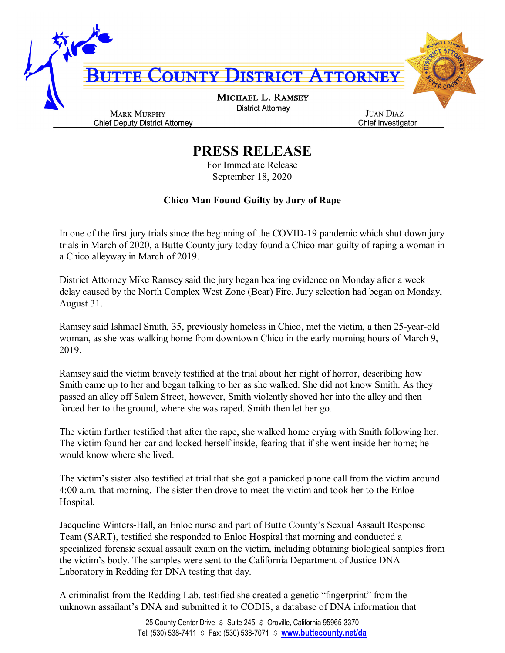

## **PRESS RELEASE**

For Immediate Release September 18, 2020

## **Chico Man Found Guilty by Jury of Rape**

In one of the first jury trials since the beginning of the COVID-19 pandemic which shut down jury trials in March of 2020, a Butte County jury today found a Chico man guilty of raping a woman in a Chico alleyway in March of 2019.

District Attorney Mike Ramsey said the jury began hearing evidence on Monday after a week delay caused by the North Complex West Zone (Bear) Fire. Jury selection had began on Monday, August 31.

Ramsey said Ishmael Smith, 35, previously homeless in Chico, met the victim, a then 25-year-old woman, as she was walking home from downtown Chico in the early morning hours of March 9, 2019.

Ramsey said the victim bravely testified at the trial about her night of horror, describing how Smith came up to her and began talking to her as she walked. She did not know Smith. As they passed an alley off Salem Street, however, Smith violently shoved her into the alley and then forced her to the ground, where she was raped. Smith then let her go.

The victim further testified that after the rape, she walked home crying with Smith following her. The victim found her car and locked herself inside, fearing that if she went inside her home; he would know where she lived.

The victim's sister also testified at trial that she got a panicked phone call from the victim around 4:00 a.m. that morning. The sister then drove to meet the victim and took her to the Enloe Hospital.

Jacqueline Winters-Hall, an Enloe nurse and part of Butte County's Sexual Assault Response Team (SART), testified she responded to Enloe Hospital that morning and conducted a specialized forensic sexual assault exam on the victim, including obtaining biological samples from the victim's body. The samples were sent to the California Department of Justice DNA Laboratory in Redding for DNA testing that day.

A criminalist from the Redding Lab, testified she created a genetic "fingerprint" from the unknown assailant's DNA and submitted it to CODIS, a database of DNA information that